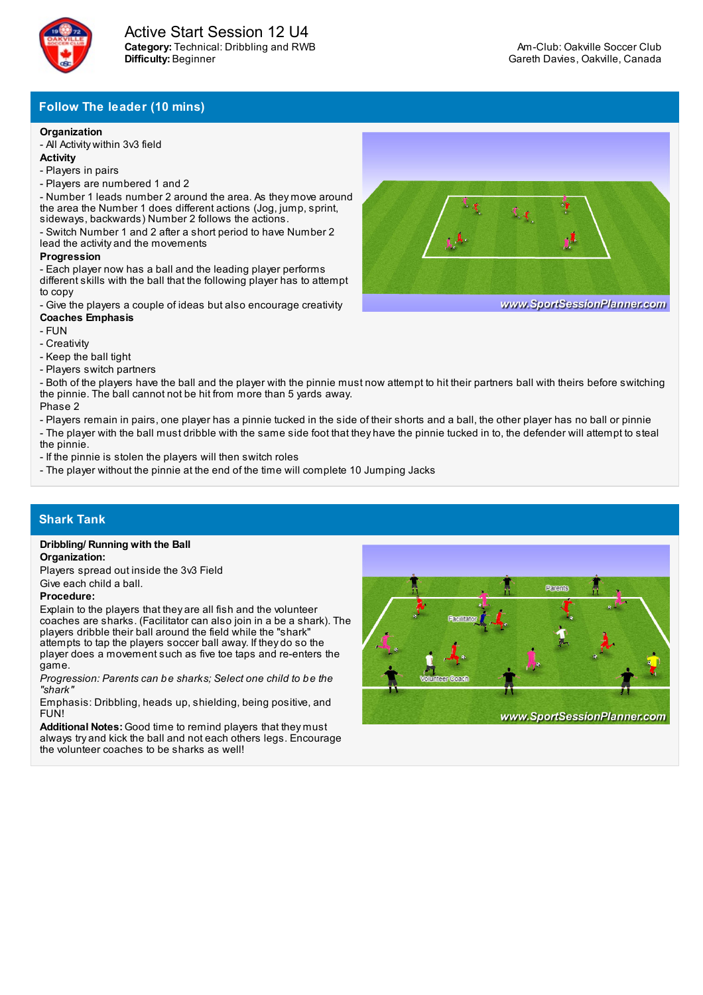

# **Follow The leader (10 mins)**

## **Organization**

- All Activity within 3v3 field

- **Activity**
- Players in pairs
- Players are numbered 1 and 2 - Number 1 leads number 2 around the area. As they move around

the area the Number 1 does different actions (Jog, jump, sprint, sideways, backwards) Number 2 follows the actions.

- Switch Number 1 and 2 after a short period to have Number 2 lead the activity and the movements

### **Progression**

- Each player now has a ball and the leading player performs different skills with the ball that the following player has to attempt to copy

- Give the players a couple of ideas but also encourage creativity **Coaches Emphasis**

- FUN
- Creativity
- Keep the ball tight
- Players switch partners

- Both of the players have the ball and the player with the pinnie must now attempt to hit their partners ball with theirs before switching the pinnie. The ball cannot not be hit from more than 5 yards away. Phase 2

- Players remain in pairs, one player has a pinnie tucked in the side of their shorts and a ball, the other player has no ball or pinnie

- The player with the ball must dribble with the same side foot that they have the pinnie tucked in to, the defender will attempt to steal the pinnie.

- If the pinnie is stolen the players will then switch roles

- The player without the pinnie at the end of the time will complete 10 Jumping Jacks

## **Shark Tank**

#### **Dribbling/ Running with the Ball Organization:**

Players spread out inside the 3v3 Field Give each child a ball.

### **Procedure:**

Explain to the players that they are all fish and the volunteer coaches are sharks. (Facilitator can also join in a be a shark). The players dribble their ball around the field while the "shark" attempts to tap the players soccer ball away. If they do so the player does a movement such as five toe taps and re-enters the game.

*Progression: Parents can be sharks; Select one child to be the "shark"*

Emphasis: Dribbling, heads up, shielding, being positive, and FUN!

**Additional Notes:** Good time to remind players that they must always try and kick the ball and not each others legs. Encourage the volunteer coaches to be sharks as well!





www.SportSessionPlanner.com